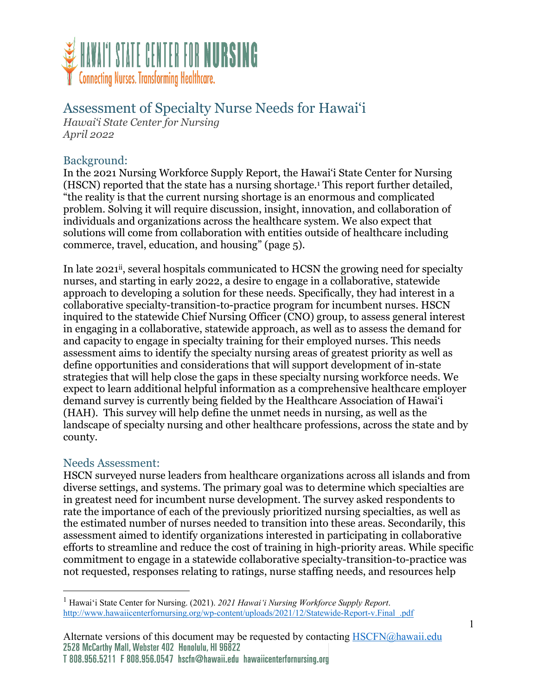

# Assessment of Specialty Nurse Needs for Hawai'i

*Hawai'i State Center for Nursing April 2022*

## Background:

In the 2021 Nursing Workforce Supply Report, the Hawai'i State Center for Nursing (HSCN) reported that the state has a nursing shortage.1 This report further detailed, "the reality is that the current nursing shortage is an enormous and complicated problem. Solving it will require discussion, insight, innovation, and collaboration of individuals and organizations across the healthcare system. We also expect that solutions will come from collaboration with entities outside of healthcare including commerce, travel, education, and housing" (page 5).

In late 2021<sup>ii</sup>, several hospitals communicated to HCSN the growing need for specialty nurses, and starting in early 2022, a desire to engage in a collaborative, statewide approach to developing a solution for these needs. Specifically, they had interest in a collaborative specialty-transition-to-practice program for incumbent nurses. HSCN inquired to the statewide Chief Nursing Officer (CNO) group, to assess general interest in engaging in a collaborative, statewide approach, as well as to assess the demand for and capacity to engage in specialty training for their employed nurses. This needs assessment aims to identify the specialty nursing areas of greatest priority as well as define opportunities and considerations that will support development of in-state strategies that will help close the gaps in these specialty nursing workforce needs. We expect to learn additional helpful information as a comprehensive healthcare employer demand survey is currently being fielded by the Healthcare Association of Hawai'i (HAH). This survey will help define the unmet needs in nursing, as well as the landscape of specialty nursing and other healthcare professions, across the state and by county.

#### Needs Assessment:

HSCN surveyed nurse leaders from healthcare organizations across all islands and from diverse settings, and systems. The primary goal was to determine which specialties are in greatest need for incumbent nurse development. The survey asked respondents to rate the importance of each of the previously prioritized nursing specialties, as well as the estimated number of nurses needed to transition into these areas. Secondarily, this assessment aimed to identify organizations interested in participating in collaborative efforts to streamline and reduce the cost of training in high-priority areas. While specific commitment to engage in a statewide collaborative specialty-transition-to-practice was not requested, responses relating to ratings, nurse staffing needs, and resources help

<sup>1</sup> Hawai'i State Center for Nursing. (2021). *2021 Hawai'i Nursing Workforce Supply Report*. http://www.hawaiicenterfornursing.org/wp-content/uploads/2021/12/Statewide-Report-v.Final\_.pdf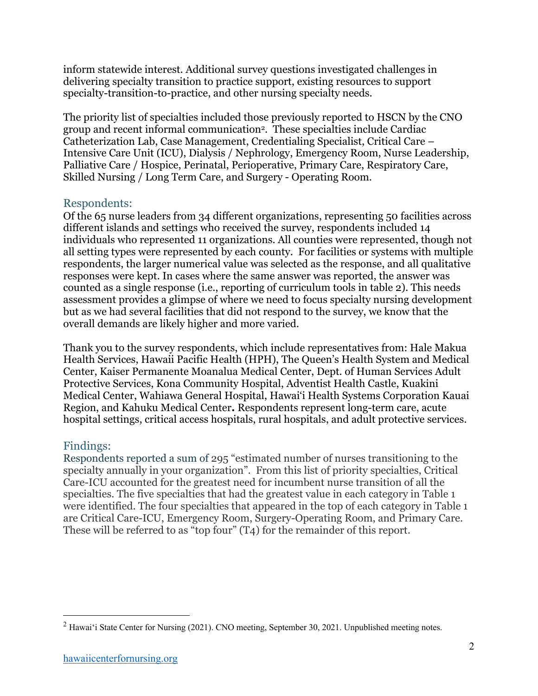inform statewide interest. Additional survey questions investigated challenges in delivering specialty transition to practice support, existing resources to support specialty-transition-to-practice, and other nursing specialty needs.

The priority list of specialties included those previously reported to HSCN by the CNO group and recent informal communication2. These specialties include Cardiac Catheterization Lab, Case Management, Credentialing Specialist, Critical Care – Intensive Care Unit (ICU), Dialysis / Nephrology, Emergency Room, Nurse Leadership, Palliative Care / Hospice, Perinatal, Perioperative, Primary Care, Respiratory Care, Skilled Nursing / Long Term Care, and Surgery - Operating Room.

#### Respondents:

Of the 65 nurse leaders from 34 different organizations, representing 50 facilities across different islands and settings who received the survey, respondents included 14 individuals who represented 11 organizations. All counties were represented, though not all setting types were represented by each county. For facilities or systems with multiple respondents, the larger numerical value was selected as the response, and all qualitative responses were kept. In cases where the same answer was reported, the answer was counted as a single response (i.e., reporting of curriculum tools in table 2). This needs assessment provides a glimpse of where we need to focus specialty nursing development but as we had several facilities that did not respond to the survey, we know that the overall demands are likely higher and more varied.

Thank you to the survey respondents, which include representatives from: Hale Makua Health Services, Hawaii Pacific Health (HPH), The Queen's Health System and Medical Center, Kaiser Permanente Moanalua Medical Center, Dept. of Human Services Adult Protective Services, Kona Community Hospital, Adventist Health Castle, Kuakini Medical Center, Wahiawa General Hospital, Hawai'i Health Systems Corporation Kauai Region, and Kahuku Medical Center**.** Respondents represent long-term care, acute hospital settings, critical access hospitals, rural hospitals, and adult protective services.

#### Findings:

Respondents reported a sum of 295 "estimated number of nurses transitioning to the specialty annually in your organization". From this list of priority specialties, Critical Care-ICU accounted for the greatest need for incumbent nurse transition of all the specialties. The five specialties that had the greatest value in each category in Table 1 were identified. The four specialties that appeared in the top of each category in Table 1 are Critical Care-ICU, Emergency Room, Surgery-Operating Room, and Primary Care. These will be referred to as "top four" (T4) for the remainder of this report.

<sup>&</sup>lt;sup>2</sup> Hawai'i State Center for Nursing (2021). CNO meeting, September 30, 2021. Unpublished meeting notes.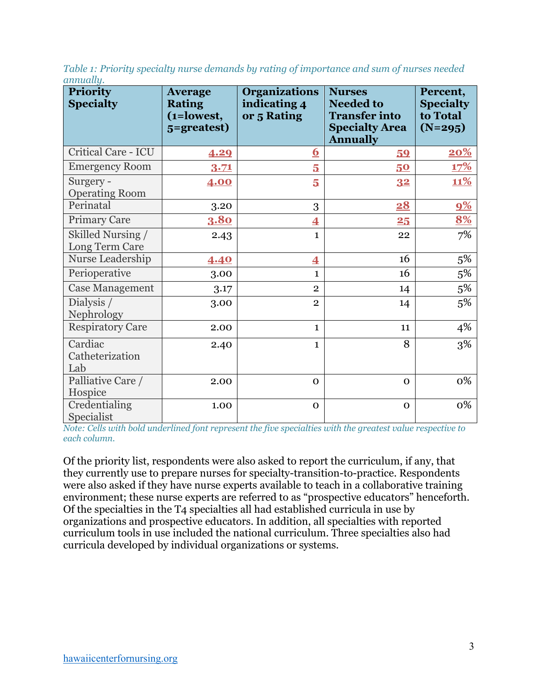| Table 1: Priority specialty nurse demands by rating of importance and sum of nurses needed |  |  |
|--------------------------------------------------------------------------------------------|--|--|
| annually.                                                                                  |  |  |

| <b>Priority</b><br><b>Specialty</b> | <b>Average</b><br><b>Rating</b><br>(1=lowest,<br>5=greatest) | <b>Organizations</b><br>indicating 4<br>or 5 Rating | <b>Nurses</b><br><b>Needed to</b><br><b>Transfer into</b><br><b>Specialty Area</b><br><b>Annually</b> | Percent,<br><b>Specialty</b><br>to Total<br>$(N=295)$ |
|-------------------------------------|--------------------------------------------------------------|-----------------------------------------------------|-------------------------------------------------------------------------------------------------------|-------------------------------------------------------|
| <b>Critical Care - ICU</b>          | 4.29                                                         | <u>6</u>                                            | 59                                                                                                    | 20%                                                   |
| <b>Emergency Room</b>               | 3.71                                                         | 5                                                   | 50                                                                                                    | <u>17%</u>                                            |
| Surgery -<br><b>Operating Room</b>  | 4.00                                                         | 5                                                   | 32                                                                                                    | <b>11%</b>                                            |
| Perinatal                           | 3.20                                                         | 3                                                   | 28                                                                                                    | 9%                                                    |
| <b>Primary Care</b>                 | <b>3.80</b>                                                  | $\overline{\mathbf{4}}$                             | 25                                                                                                    | 8%                                                    |
| Skilled Nursing /<br>Long Term Care | 2.43                                                         | $\mathbf{1}$                                        | 22                                                                                                    | 7%                                                    |
| Nurse Leadership                    | 4.40                                                         | $\overline{\mathbf{4}}$                             | 16                                                                                                    | $5\%$                                                 |
| Perioperative                       | 3.00                                                         | $\mathbf{1}$                                        | 16                                                                                                    | $5\%$                                                 |
| <b>Case Management</b>              | 3.17                                                         | $\overline{2}$                                      | 14                                                                                                    | 5%                                                    |
| Dialysis /<br>Nephrology            | 3.00                                                         | $\overline{2}$                                      | 14                                                                                                    | 5%                                                    |
| <b>Respiratory Care</b>             | 2.00                                                         | $\mathbf{1}$                                        | 11                                                                                                    | 4%                                                    |
| Cardiac<br>Catheterization<br>Lab   | 2.40                                                         | $\mathbf{1}$                                        | 8                                                                                                     | 3%                                                    |
| Palliative Care /<br>Hospice        | 2.00                                                         | $\mathbf 0$                                         | $\mathbf{O}$                                                                                          | 0%                                                    |
| Credentialing<br>Specialist         | 1.00                                                         | $\mathbf 0$                                         | $\mathbf{O}$                                                                                          | 0%                                                    |

*Note: Cells with bold underlined font represent the five specialties with the greatest value respective to each column.*

Of the priority list, respondents were also asked to report the curriculum, if any, that they currently use to prepare nurses for specialty-transition-to-practice. Respondents were also asked if they have nurse experts available to teach in a collaborative training environment; these nurse experts are referred to as "prospective educators" henceforth. Of the specialties in the T4 specialties all had established curricula in use by organizations and prospective educators. In addition, all specialties with reported curriculum tools in use included the national curriculum. Three specialties also had curricula developed by individual organizations or systems.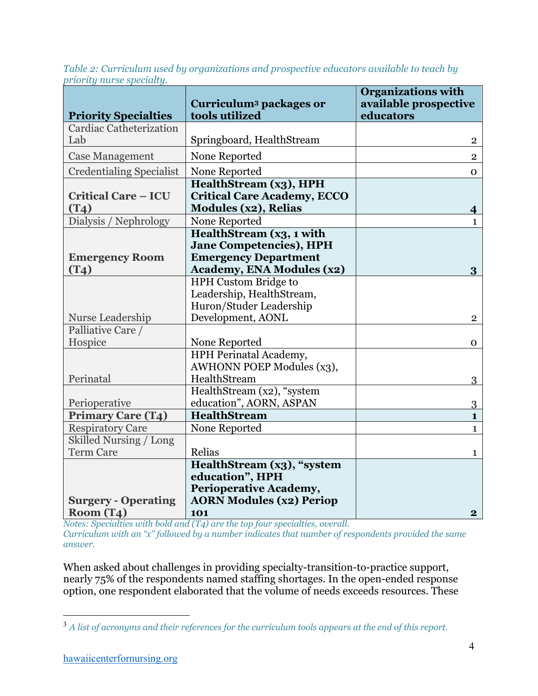*Table 2: Curriculum used by organizations and prospective educators available to teach by priority nurse specialty.*

|                                                   | Curriculum <sup>3</sup> packages or                                                         | <b>Organizations with</b><br>available prospective |
|---------------------------------------------------|---------------------------------------------------------------------------------------------|----------------------------------------------------|
| <b>Priority Specialties</b>                       | tools utilized                                                                              | educators                                          |
| <b>Cardiac Catheterization</b>                    |                                                                                             |                                                    |
| Lab                                               | Springboard, HealthStream                                                                   | 2                                                  |
| <b>Case Management</b>                            | None Reported                                                                               | $\overline{2}$                                     |
| <b>Credentialing Specialist</b>                   | None Reported                                                                               | 0                                                  |
| <b>Critical Care - ICU</b><br>(T <sub>4</sub> )   | HealthStream (x3), HPH<br><b>Critical Care Academy, ECCO</b><br><b>Modules (x2), Relias</b> |                                                    |
| Dialysis / Nephrology                             | None Reported                                                                               | 4<br>$\mathbf{1}$                                  |
|                                                   | HealthStream (x3, 1 with                                                                    |                                                    |
|                                                   | <b>Jane Competencies), HPH</b>                                                              |                                                    |
| <b>Emergency Room</b>                             | <b>Emergency Department</b>                                                                 |                                                    |
| (T <sub>4</sub> )                                 | <b>Academy, ENA Modules (x2)</b>                                                            | 3                                                  |
|                                                   | HPH Custom Bridge to                                                                        |                                                    |
|                                                   | Leadership, HealthStream,                                                                   |                                                    |
|                                                   | Huron/Studer Leadership                                                                     |                                                    |
| Nurse Leadership                                  | Development, AONL                                                                           | $\overline{2}$                                     |
| Palliative Care /                                 |                                                                                             |                                                    |
| Hospice                                           | None Reported                                                                               | 0                                                  |
|                                                   | HPH Perinatal Academy,                                                                      |                                                    |
|                                                   | <b>AWHONN POEP Modules (x3),</b>                                                            |                                                    |
| Perinatal                                         | HealthStream                                                                                | 3                                                  |
|                                                   | HealthStream (x2), "system                                                                  |                                                    |
| Perioperative                                     | education", AORN, ASPAN                                                                     | $\overline{3}$                                     |
| <b>Primary Care (T4)</b>                          | <b>HealthStream</b>                                                                         | $\mathbf{1}$                                       |
| <b>Respiratory Care</b><br>Skilled Nursing / Long | None Reported                                                                               | $\mathbf{1}$                                       |
| <b>Term Care</b>                                  | Relias                                                                                      |                                                    |
|                                                   | HealthStream (x3), "system                                                                  | 1                                                  |
|                                                   | education", HPH                                                                             |                                                    |
|                                                   | Perioperative Academy,                                                                      |                                                    |
| <b>Surgery - Operating</b>                        | <b>AORN Modules (x2) Periop</b>                                                             |                                                    |
| Room(T4)                                          | 101                                                                                         | $\bf{2}$                                           |

*Notes: Specialties with bold and (T4) are the top four specialties, overall. Curriculum with an "x" followed by a number indicates that number of respondents provided the same answer.* 

When asked about challenges in providing specialty-transition-to-practice support, nearly 75% of the respondents named staffing shortages. In the open-ended response option, one respondent elaborated that the volume of needs exceeds resources. These

<sup>3</sup> *A list of acronyms and their references for the curriculum tools appears at the end of this report.*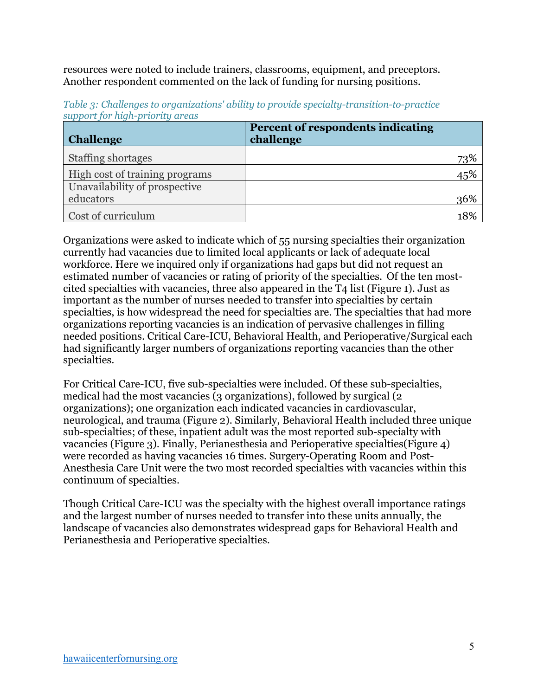resources were noted to include trainers, classrooms, equipment, and preceptors. Another respondent commented on the lack of funding for nursing positions.

| <b>Challenge</b>               | Percent of respondents indicating<br>challenge |     |
|--------------------------------|------------------------------------------------|-----|
| <b>Staffing shortages</b>      |                                                | 73% |
| High cost of training programs |                                                | 45% |
| Unavailability of prospective  |                                                |     |
| educators                      |                                                | 36% |
| Cost of curriculum             |                                                | 18% |

*Table 3: Challenges to organizations' ability to provide specialty-transition-to-practice support for high-priority areas*

Organizations were asked to indicate which of 55 nursing specialties their organization currently had vacancies due to limited local applicants or lack of adequate local workforce. Here we inquired only if organizations had gaps but did not request an estimated number of vacancies or rating of priority of the specialties. Of the ten mostcited specialties with vacancies, three also appeared in the T4 list (Figure 1). Just as important as the number of nurses needed to transfer into specialties by certain specialties, is how widespread the need for specialties are. The specialties that had more organizations reporting vacancies is an indication of pervasive challenges in filling needed positions. Critical Care-ICU, Behavioral Health, and Perioperative/Surgical each had significantly larger numbers of organizations reporting vacancies than the other specialties.

For Critical Care-ICU, five sub-specialties were included. Of these sub-specialties, medical had the most vacancies (3 organizations), followed by surgical (2 organizations); one organization each indicated vacancies in cardiovascular, neurological, and trauma (Figure 2). Similarly, Behavioral Health included three unique sub-specialties; of these, inpatient adult was the most reported sub-specialty with vacancies (Figure 3). Finally, Perianesthesia and Perioperative specialties(Figure 4) were recorded as having vacancies 16 times. Surgery-Operating Room and Post-Anesthesia Care Unit were the two most recorded specialties with vacancies within this continuum of specialties.

Though Critical Care-ICU was the specialty with the highest overall importance ratings and the largest number of nurses needed to transfer into these units annually, the landscape of vacancies also demonstrates widespread gaps for Behavioral Health and Perianesthesia and Perioperative specialties.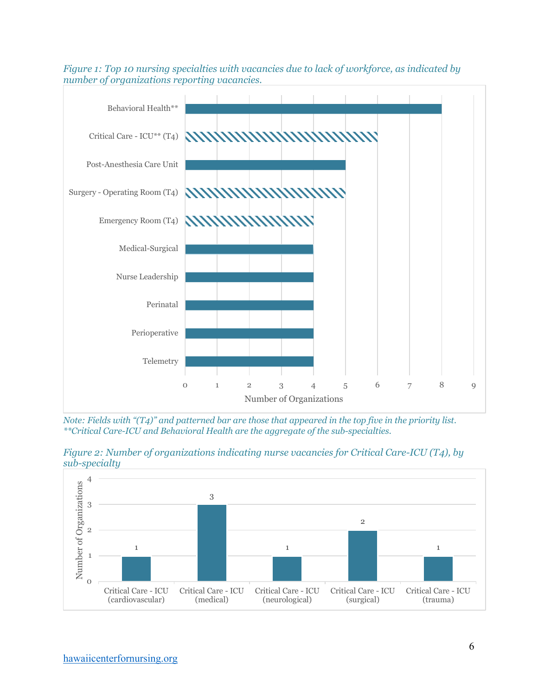

*Figure 1: Top 10 nursing specialties with vacancies due to lack of workforce, as indicated by number of organizations reporting vacancies.*

*Note: Fields with "(T4)" and patterned bar are those that appeared in the top five in the priority list. \*\*Critical Care-ICU and Behavioral Health are the aggregate of the sub-specialties.*



*Figure 2: Number of organizations indicating nurse vacancies for Critical Care-ICU (T4), by sub-specialty*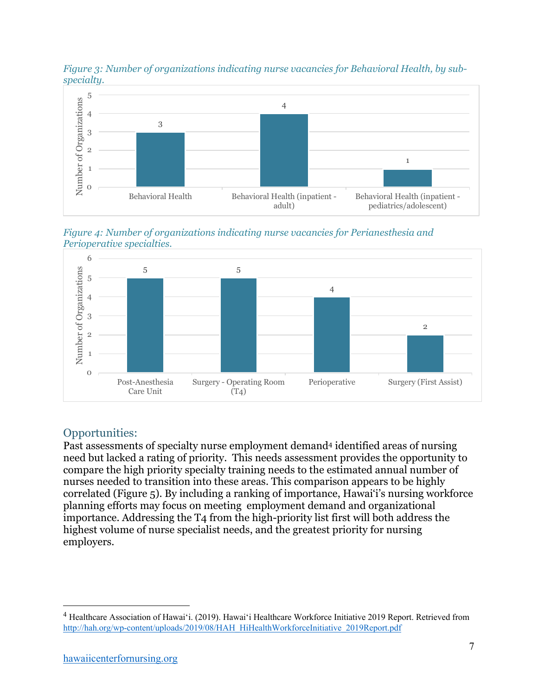



*Figure 4: Number of organizations indicating nurse vacancies for Perianesthesia and Perioperative specialties.*



# Opportunities:

Past assessments of specialty nurse employment demand4 identified areas of nursing need but lacked a rating of priority. This needs assessment provides the opportunity to compare the high priority specialty training needs to the estimated annual number of nurses needed to transition into these areas. This comparison appears to be highly correlated (Figure 5). By including a ranking of importance, Hawai'i's nursing workforce planning efforts may focus on meeting employment demand and organizational importance. Addressing the T4 from the high-priority list first will both address the highest volume of nurse specialist needs, and the greatest priority for nursing employers.

<sup>4</sup> Healthcare Association of Hawai'i. (2019). Hawai'i Healthcare Workforce Initiative 2019 Report. Retrieved from http://hah.org/wp-content/uploads/2019/08/HAH\_HiHealthWorkforceInitiative\_2019Report.pdf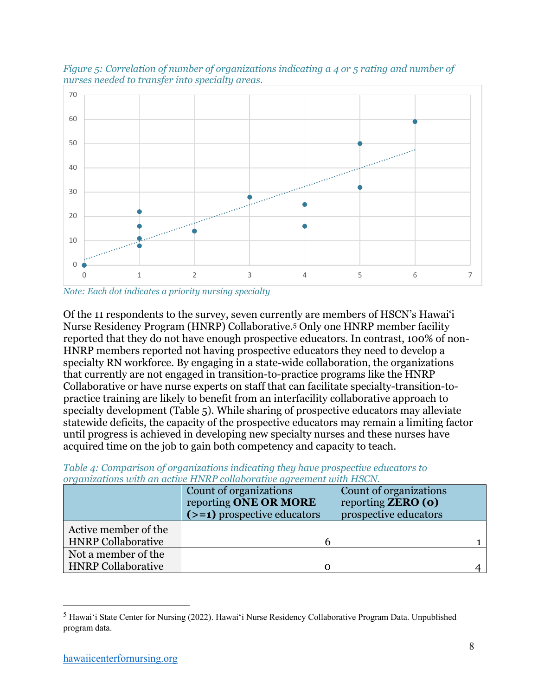

*Figure 5: Correlation of number of organizations indicating a 4 or 5 rating and number of nurses needed to transfer into specialty areas.*

Of the 11 respondents to the survey, seven currently are members of HSCN's Hawai'i Nurse Residency Program (HNRP) Collaborative.5 Only one HNRP member facility reported that they do not have enough prospective educators. In contrast, 100% of non-HNRP members reported not having prospective educators they need to develop a specialty RN workforce. By engaging in a state-wide collaboration, the organizations that currently are not engaged in transition-to-practice programs like the HNRP Collaborative or have nurse experts on staff that can facilitate specialty-transition-topractice training are likely to benefit from an interfacility collaborative approach to specialty development (Table 5). While sharing of prospective educators may alleviate statewide deficits, the capacity of the prospective educators may remain a limiting factor until progress is achieved in developing new specialty nurses and these nurses have acquired time on the job to gain both competency and capacity to teach.

| organizations with an active HNRP collaborative agreement with HSCN. |                               |                           |
|----------------------------------------------------------------------|-------------------------------|---------------------------|
|                                                                      | Count of organizations        | Count of organizations    |
|                                                                      | reporting ONE OR MORE         | reporting <b>ZERO</b> (o) |
|                                                                      | $(>=1)$ prospective educators | prospective educators     |
| Active member of the                                                 |                               |                           |
| <b>HNRP Collaborative</b>                                            |                               |                           |
| Not a member of the                                                  |                               |                           |
| <b>HNRP</b> Collaborative                                            |                               |                           |

*Table 4: Comparison of organizations indicating they have prospective educators to*  $\frac{1}{2}$  *no setting UNDP sells protive squarement with USON organizations with an active HNRP collaborative agreement with HSCN.*

*Note: Each dot indicates a priority nursing specialty* 

<sup>5</sup> Hawai'i State Center for Nursing (2022). Hawai'i Nurse Residency Collaborative Program Data. Unpublished program data.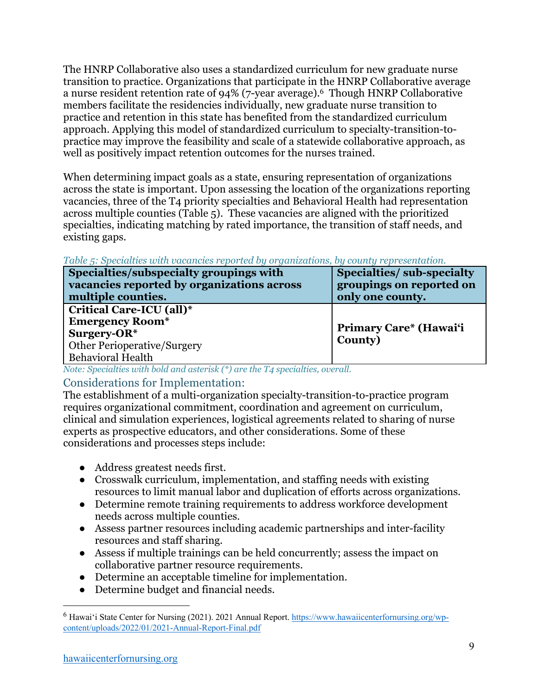The HNRP Collaborative also uses a standardized curriculum for new graduate nurse transition to practice. Organizations that participate in the HNRP Collaborative average a nurse resident retention rate of 94% (7-year average).6 Though HNRP Collaborative members facilitate the residencies individually, new graduate nurse transition to practice and retention in this state has benefited from the standardized curriculum approach. Applying this model of standardized curriculum to specialty-transition-topractice may improve the feasibility and scale of a statewide collaborative approach, as well as positively impact retention outcomes for the nurses trained.

When determining impact goals as a state, ensuring representation of organizations across the state is important. Upon assessing the location of the organizations reporting vacancies, three of the T4 priority specialties and Behavioral Health had representation across multiple counties (Table 5). These vacancies are aligned with the prioritized specialties, indicating matching by rated importance, the transition of staff needs, and existing gaps.

*Table 5: Specialties with vacancies reported by organizations, by county representation.*

| Specialties/subspecialty groupings with    | Specialties/sub-specialty |
|--------------------------------------------|---------------------------|
| vacancies reported by organizations across | groupings on reported on  |
| multiple counties.                         | only one county.          |
| Critical Care-ICU (all)*                   |                           |
| <b>Emergency Room*</b>                     | Primary Care* (Hawai'i    |
| Surgery-OR $*$                             |                           |
| <b>Other Perioperative/Surgery</b>         | County)                   |
| <b>Behavioral Health</b>                   |                           |

*Note: Specialties with bold and asterisk (\*) are the T4 specialties, overall.*

## Considerations for Implementation:

The establishment of a multi-organization specialty-transition-to-practice program requires organizational commitment, coordination and agreement on curriculum, clinical and simulation experiences, logistical agreements related to sharing of nurse experts as prospective educators, and other considerations. Some of these considerations and processes steps include:

- Address greatest needs first.
- Crosswalk curriculum, implementation, and staffing needs with existing resources to limit manual labor and duplication of efforts across organizations.
- Determine remote training requirements to address workforce development needs across multiple counties.
- Assess partner resources including academic partnerships and inter-facility resources and staff sharing.
- Assess if multiple trainings can be held concurrently; assess the impact on collaborative partner resource requirements.
- Determine an acceptable timeline for implementation.
- Determine budget and financial needs.

<sup>6</sup> Hawai'i State Center for Nursing (2021). 2021 Annual Report. https://www.hawaiicenterfornursing.org/wpcontent/uploads/2022/01/2021-Annual-Report-Final.pdf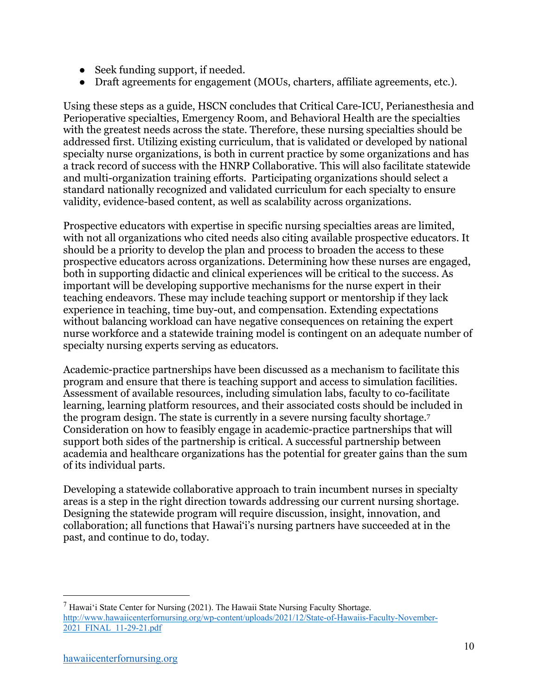- Seek funding support, if needed.
- Draft agreements for engagement (MOUs, charters, affiliate agreements, etc.).

Using these steps as a guide, HSCN concludes that Critical Care-ICU, Perianesthesia and Perioperative specialties, Emergency Room, and Behavioral Health are the specialties with the greatest needs across the state. Therefore, these nursing specialties should be addressed first. Utilizing existing curriculum, that is validated or developed by national specialty nurse organizations, is both in current practice by some organizations and has a track record of success with the HNRP Collaborative. This will also facilitate statewide and multi-organization training efforts. Participating organizations should select a standard nationally recognized and validated curriculum for each specialty to ensure validity, evidence-based content, as well as scalability across organizations.

Prospective educators with expertise in specific nursing specialties areas are limited, with not all organizations who cited needs also citing available prospective educators. It should be a priority to develop the plan and process to broaden the access to these prospective educators across organizations. Determining how these nurses are engaged, both in supporting didactic and clinical experiences will be critical to the success. As important will be developing supportive mechanisms for the nurse expert in their teaching endeavors. These may include teaching support or mentorship if they lack experience in teaching, time buy-out, and compensation. Extending expectations without balancing workload can have negative consequences on retaining the expert nurse workforce and a statewide training model is contingent on an adequate number of specialty nursing experts serving as educators.

Academic-practice partnerships have been discussed as a mechanism to facilitate this program and ensure that there is teaching support and access to simulation facilities. Assessment of available resources, including simulation labs, faculty to co-facilitate learning, learning platform resources, and their associated costs should be included in the program design. The state is currently in a severe nursing faculty shortage.7 Consideration on how to feasibly engage in academic-practice partnerships that will support both sides of the partnership is critical. A successful partnership between academia and healthcare organizations has the potential for greater gains than the sum of its individual parts.

Developing a statewide collaborative approach to train incumbent nurses in specialty areas is a step in the right direction towards addressing our current nursing shortage. Designing the statewide program will require discussion, insight, innovation, and collaboration; all functions that Hawai'i's nursing partners have succeeded at in the past, and continue to do, today.

 $<sup>7</sup>$  Hawai'i State Center for Nursing (2021). The Hawaii State Nursing Faculty Shortage.</sup> http://www.hawaiicenterfornursing.org/wp-content/uploads/2021/12/State-of-Hawaiis-Faculty-November-2021\_FINAL\_11-29-21.pdf